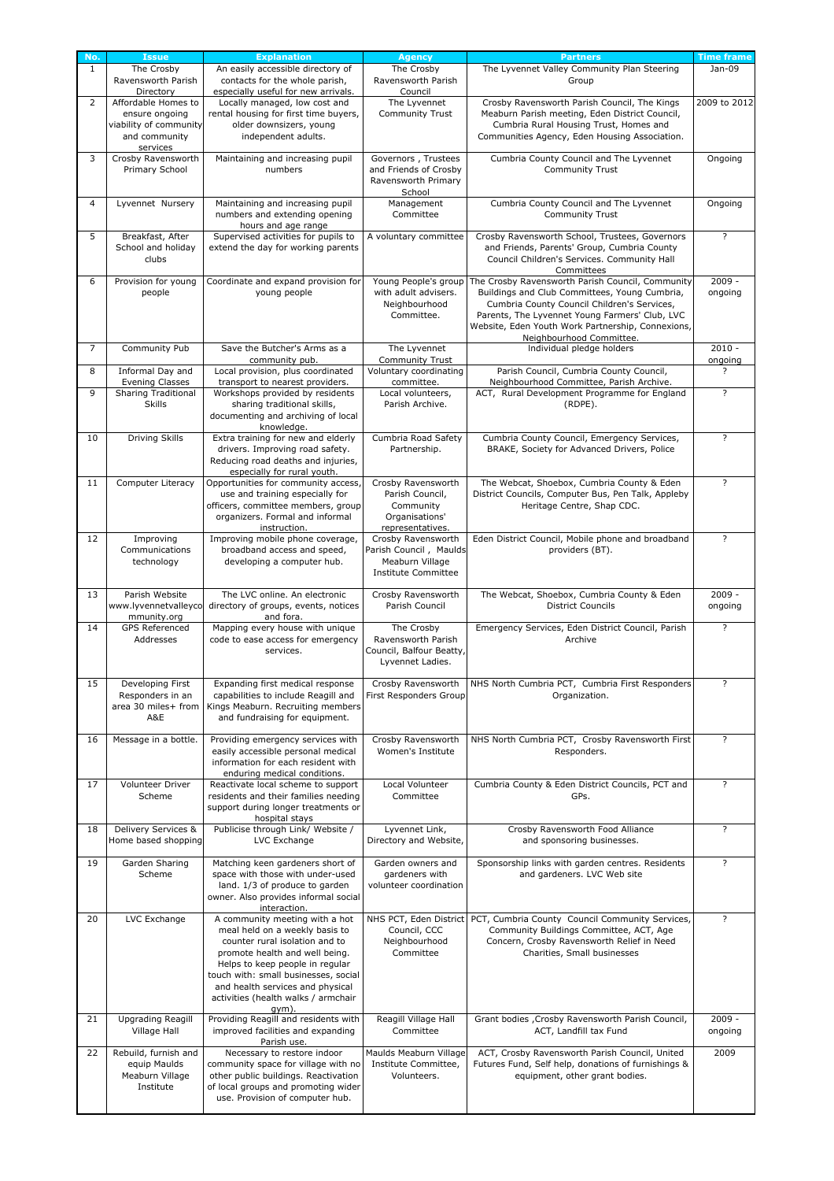|                | <b>Issue</b>               | <b>Explanation</b>                                                     | <b>Agency</b>              | <b>Partners</b>                                                        | <b>Time frame</b>       |
|----------------|----------------------------|------------------------------------------------------------------------|----------------------------|------------------------------------------------------------------------|-------------------------|
| $\mathbf{1}$   | The Crosby                 | An easily accessible directory of                                      | The Crosby                 | The Lyvennet Valley Community Plan Steering                            | Jan-09                  |
|                | Ravensworth Parish         | contacts for the whole parish,                                         | Ravensworth Parish         | Group                                                                  |                         |
|                | Directory                  | especially useful for new arrivals.                                    | Council                    |                                                                        |                         |
| $\overline{2}$ | Affordable Homes to        | Locally managed, low cost and                                          | The Lyvennet               | Crosby Ravensworth Parish Council, The Kings                           | 2009 to 2012            |
|                | ensure ongoing             | rental housing for first time buyers,                                  | Community Trust            | Meaburn Parish meeting, Eden District Council,                         |                         |
|                | viability of community     | older downsizers, young                                                |                            | Cumbria Rural Housing Trust, Homes and                                 |                         |
|                |                            |                                                                        |                            |                                                                        |                         |
|                | and community              | independent adults.                                                    |                            | Communities Agency, Eden Housing Association.                          |                         |
|                | services                   |                                                                        |                            |                                                                        |                         |
| 3              | Crosby Ravensworth         | Maintaining and increasing pupil                                       | Governors, Trustees        | Cumbria County Council and The Lyvennet                                | Ongoing                 |
|                | Primary School             | numbers                                                                | and Friends of Crosby      | <b>Community Trust</b>                                                 |                         |
|                |                            |                                                                        | Ravensworth Primary        |                                                                        |                         |
|                |                            |                                                                        | School                     |                                                                        |                         |
| $\overline{4}$ | Lyvennet Nursery           | Maintaining and increasing pupil                                       | Management                 | Cumbria County Council and The Lyvennet                                | Ongoing                 |
|                |                            | numbers and extending opening                                          | Committee                  | <b>Community Trust</b>                                                 |                         |
|                |                            | hours and age range                                                    |                            |                                                                        |                         |
| 5              | Breakfast, After           | Supervised activities for pupils to                                    | A voluntary committee      | Crosby Ravensworth School, Trustees, Governors                         | $\overline{?}$          |
|                |                            |                                                                        |                            |                                                                        |                         |
|                | School and holiday         | extend the day for working parents                                     |                            | and Friends, Parents' Group, Cumbria County                            |                         |
|                | clubs                      |                                                                        |                            | Council Children's Services. Community Hall                            |                         |
|                |                            |                                                                        |                            | Committees                                                             |                         |
| 6              | Provision for young        | Coordinate and expand provision for                                    | Young People's group       | The Crosby Ravensworth Parish Council, Community                       | $2009 -$                |
|                | people                     | young people                                                           | with adult advisers.       | Buildings and Club Committees, Young Cumbria,                          | ongoing                 |
|                |                            |                                                                        | Neighbourhood              | Cumbria County Council Children's Services,                            |                         |
|                |                            |                                                                        | Committee.                 | Parents, The Lyvennet Young Farmers' Club, LVC                         |                         |
|                |                            |                                                                        |                            | Website, Eden Youth Work Partnership, Connexions,                      |                         |
|                |                            |                                                                        |                            | Neighbourhood Committee.                                               |                         |
| $\overline{7}$ | Community Pub              | Save the Butcher's Arms as a                                           | The Lyvennet               | Individual pledge holders                                              | $2010 -$                |
|                |                            | community pub.                                                         | <b>Community Trust</b>     |                                                                        | ongoing                 |
|                |                            | Local provision, plus coordinated                                      | Voluntary coordinating     |                                                                        | $\overline{?}$          |
| 8              | Informal Day and           |                                                                        |                            | Parish Council, Cumbria County Council,                                |                         |
|                | <b>Evening Classes</b>     | transport to nearest providers.                                        | committee.                 | Neighbourhood Committee, Parish Archive.                               |                         |
| 9              | <b>Sharing Traditional</b> | Workshops provided by residents                                        | Local volunteers,          | ACT, Rural Development Programme for England                           | $\overline{?}$          |
|                | <b>Skills</b>              | sharing traditional skills,                                            | Parish Archive.            | (RDPE).                                                                |                         |
|                |                            | documenting and archiving of local                                     |                            |                                                                        |                         |
|                |                            | knowledge.                                                             |                            |                                                                        |                         |
| 10             | Driving Skills             | Extra training for new and elderly                                     | Cumbria Road Safety        | Cumbria County Council, Emergency Services,                            | $\overline{\cdot}$      |
|                |                            | drivers. Improving road safety.                                        | Partnership.               | BRAKE, Society for Advanced Drivers, Police                            |                         |
|                |                            | Reducing road deaths and injuries,                                     |                            |                                                                        |                         |
|                |                            | especially for rural youth.                                            |                            |                                                                        |                         |
| 11             | Computer Literacy          | Opportunities for community access,                                    | Crosby Ravensworth         | The Webcat, Shoebox, Cumbria County & Eden                             | $\overline{\cdot}$      |
|                |                            | use and training especially for                                        | Parish Council,            | District Councils, Computer Bus, Pen Talk, Appleby                     |                         |
|                |                            | officers, committee members, group                                     | Community                  | Heritage Centre, Shap CDC.                                             |                         |
|                |                            | organizers. Formal and informal                                        | Organisations'             |                                                                        |                         |
|                |                            |                                                                        |                            |                                                                        |                         |
|                |                            | instruction.                                                           | representatives.           |                                                                        | $\overline{\cdot}$      |
| 12             | Improving                  | Improving mobile phone coverage,                                       | Crosby Ravensworth         | Eden District Council, Mobile phone and broadband                      |                         |
|                | Communications             | broadband access and speed,                                            | Parish Council, Maulds     | providers (BT).                                                        |                         |
|                | technology                 | developing a computer hub.                                             | Meaburn Village            |                                                                        |                         |
|                |                            |                                                                        | <b>Institute Committee</b> |                                                                        |                         |
|                |                            |                                                                        |                            |                                                                        |                         |
| 13             | Parish Website             | The LVC online. An electronic                                          | Crosby Ravensworth         | The Webcat, Shoebox, Cumbria County & Eden                             | $2009 -$                |
|                | www.lyvennetvalleyco       | directory of groups, events, notices                                   | Parish Council             | <b>District Councils</b>                                               | ongoing                 |
|                | mmunity.org                | and fora.                                                              |                            |                                                                        |                         |
| 14             | <b>GPS Referenced</b>      | Mapping every house with unique                                        | The Crosby                 | Emergency Services, Eden District Council, Parish                      | $\overline{?}$          |
|                | Addresses                  | code to ease access for emergency                                      | Ravensworth Parish         | Archive                                                                |                         |
|                |                            | services.                                                              | Council, Balfour Beatty,   |                                                                        |                         |
|                |                            |                                                                        | Lyvennet Ladies.           |                                                                        |                         |
|                |                            |                                                                        |                            |                                                                        |                         |
| 15             |                            |                                                                        |                            |                                                                        | ?                       |
|                | Developing First           | Expanding first medical response                                       | Crosby Ravensworth         | NHS North Cumbria PCT, Cumbria First Responders                        |                         |
|                | Responders in an           | capabilities to include Reagill and                                    | First Responders Group     | Organization.                                                          |                         |
|                | area 30 miles+ from        |                                                                        |                            |                                                                        |                         |
|                | A&E                        | Kings Meaburn. Recruiting members                                      |                            |                                                                        |                         |
|                |                            | and fundraising for equipment.                                         |                            |                                                                        |                         |
| 16             |                            |                                                                        |                            |                                                                        |                         |
|                | Message in a bottle.       | Providing emergency services with                                      | Crosby Ravensworth         | NHS North Cumbria PCT, Crosby Ravensworth First                        | $\overline{\mathbf{?}}$ |
|                |                            | easily accessible personal medical                                     | Women's Institute          | Responders.                                                            |                         |
|                |                            | information for each resident with                                     |                            |                                                                        |                         |
|                |                            | enduring medical conditions.                                           |                            |                                                                        |                         |
| 17             | Volunteer Driver           |                                                                        | Local Volunteer            | Cumbria County & Eden District Councils, PCT and                       | $\overline{\mathbf{?}}$ |
|                |                            | Reactivate local scheme to support                                     | Committee                  |                                                                        |                         |
|                | Scheme                     | residents and their families needing                                   |                            | GPs.                                                                   |                         |
|                |                            | support during longer treatments or                                    |                            |                                                                        |                         |
|                |                            | hospital stays                                                         |                            |                                                                        |                         |
| 18             | Delivery Services &        | Publicise through Link/ Website /                                      | Lyvennet Link,             | Crosby Ravensworth Food Alliance                                       | $\overline{\mathbf{?}}$ |
|                | Home based shopping        | LVC Exchange                                                           | Directory and Website,     | and sponsoring businesses.                                             |                         |
|                |                            |                                                                        |                            |                                                                        |                         |
| 19             | Garden Sharing             | Matching keen gardeners short of                                       | Garden owners and          | Sponsorship links with garden centres. Residents                       | $\overline{\cdot}$      |
|                | Scheme                     | space with those with under-used                                       | gardeners with             | and gardeners. LVC Web site                                            |                         |
|                |                            | land. 1/3 of produce to garden                                         | volunteer coordination     |                                                                        |                         |
|                |                            | owner. Also provides informal social                                   |                            |                                                                        |                         |
|                |                            | interaction.                                                           |                            |                                                                        |                         |
| 20             | LVC Exchange               | A community meeting with a hot                                         |                            | NHS PCT, Eden District PCT, Cumbria County Council Community Services, | $\overline{\cdot}$      |
|                |                            | meal held on a weekly basis to                                         | Council, CCC               | Community Buildings Committee, ACT, Age                                |                         |
|                |                            | counter rural isolation and to                                         | Neighbourhood              | Concern, Crosby Ravensworth Relief in Need                             |                         |
|                |                            |                                                                        |                            |                                                                        |                         |
|                |                            | promote health and well being.                                         | Committee                  | Charities, Small businesses                                            |                         |
|                |                            | Helps to keep people in regular                                        |                            |                                                                        |                         |
|                |                            | touch with: small businesses, social                                   |                            |                                                                        |                         |
|                |                            | and health services and physical                                       |                            |                                                                        |                         |
|                |                            | activities (health walks / armchair                                    |                            |                                                                        |                         |
|                |                            | qym).                                                                  |                            |                                                                        |                         |
| 21             | <b>Upgrading Reagill</b>   | Providing Reagill and residents with                                   | Reagill Village Hall       | Grant bodies , Crosby Ravensworth Parish Council,                      | $2009 -$                |
|                | Village Hall               | improved facilities and expanding                                      | Committee                  | ACT, Landfill tax Fund                                                 | ongoing                 |
|                |                            | Parish use.                                                            |                            |                                                                        |                         |
| 22             | Rebuild, furnish and       | Necessary to restore indoor                                            | Maulds Meaburn Village     | ACT, Crosby Ravensworth Parish Council, United                         | 2009                    |
|                | equip Maulds               | community space for village with no                                    | Institute Committee,       | Futures Fund, Self help, donations of furnishings &                    |                         |
|                |                            |                                                                        | Volunteers.                |                                                                        |                         |
|                | Meaburn Village            | other public buildings. Reactivation                                   |                            | equipment, other grant bodies.                                         |                         |
|                | Institute                  | of local groups and promoting wider<br>use. Provision of computer hub. |                            |                                                                        |                         |